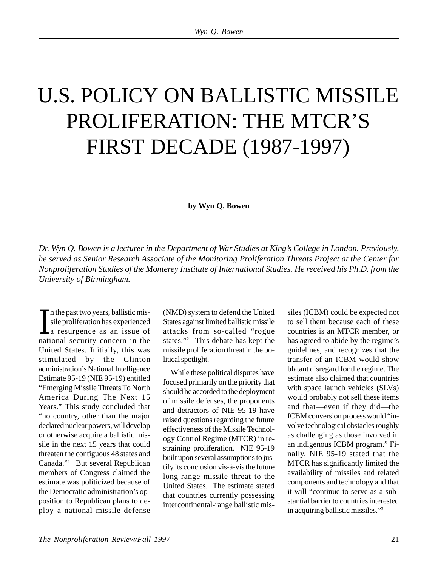# U.S. POLICY ON BALLISTIC MISSILE PROLIFERATION: THE MTCR'S FIRST DECADE (1987-1997)

**by Wyn Q. Bowen**

*Dr. Wyn Q. Bowen is a lecturer in the Department of War Studies at King's College in London. Previously, he served as Senior Research Associate of the Monitoring Proliferation Threats Project at the Center for Nonproliferation Studies of the Monterey Institute of International Studies. He received his Ph.D. from the University of Birmingham.*

I n the past two years, ballistic missile proliferation has experienced a resurgence as an issue of national security concern in the United States. Initially, this was stimulated by the Clinton administration's National Intelligence Estimate 95-19 (NIE 95-19) entitled "Emerging Missile Threats To North America During The Next 15 Years." This study concluded that "no country, other than the major declared nuclear powers, will develop or otherwise acquire a ballistic missile in the next 15 years that could threaten the contiguous 48 states and Canada."1 But several Republican members of Congress claimed the estimate was politicized because of the Democratic administration's opposition to Republican plans to deploy a national missile defense

(NMD) system to defend the United States against limited ballistic missile attacks from so-called "rogue states."2 This debate has kept the missile proliferation threat in the political spotlight.

While these political disputes have focused primarily on the priority that should be accorded to the deployment of missile defenses, the proponents and detractors of NIE 95-19 have raised questions regarding the future effectiveness of the Missile Technology Control Regime (MTCR) in restraining proliferation. NIE 95-19 built upon several assumptions to justify its conclusion vis-à-vis the future long-range missile threat to the United States. The estimate stated that countries currently possessing intercontinental-range ballistic missiles (ICBM) could be expected not to sell them because each of these countries is an MTCR member, or has agreed to abide by the regime's guidelines, and recognizes that the transfer of an ICBM would show blatant disregard for the regime. The estimate also claimed that countries with space launch vehicles (SLVs) would probably not sell these items and that—even if they did—the ICBM conversion process would "involve technological obstacles roughly as challenging as those involved in an indigenous ICBM program." Finally, NIE 95-19 stated that the MTCR has significantly limited the availability of missiles and related components and technology and that it will "continue to serve as a substantial barrier to countries interested in acquiring ballistic missiles."3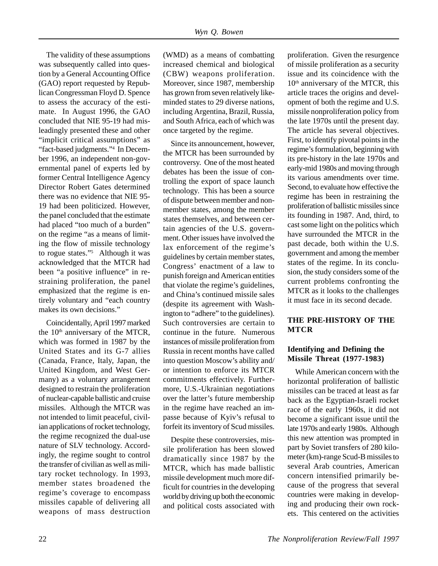The validity of these assumptions was subsequently called into question by a General Accounting Office (GAO) report requested by Republican Congressman Floyd D. Spence to assess the accuracy of the estimate. In August 1996, the GAO concluded that NIE 95-19 had misleadingly presented these and other "implicit critical assumptions" as "fact-based judgments."4 In December 1996, an independent non-governmental panel of experts led by former Central Intelligence Agency Director Robert Gates determined there was no evidence that NIE 95- 19 had been politicized. However, the panel concluded that the estimate had placed "too much of a burden" on the regime "as a means of limiting the flow of missile technology to rogue states."5 Although it was acknowledged that the MTCR had been "a positive influence" in restraining proliferation, the panel emphasized that the regime is entirely voluntary and "each country makes its own decisions."

Coincidentally, April 1997 marked the  $10<sup>th</sup>$  anniversary of the MTCR, which was formed in 1987 by the United States and its G-7 allies (Canada, France, Italy, Japan, the United Kingdom, and West Germany) as a voluntary arrangement designed to restrain the proliferation of nuclear-capable ballistic and cruise missiles. Although the MTCR was not intended to limit peaceful, civilian applications of rocket technology, the regime recognized the dual-use nature of SLV technology. Accordingly, the regime sought to control the transfer of civilian as well as military rocket technology. In 1993, member states broadened the regime's coverage to encompass missiles capable of delivering all weapons of mass destruction

(WMD) as a means of combatting increased chemical and biological (CBW) weapons proliferation. Moreover, since 1987, membership has grown from seven relatively likeminded states to 29 diverse nations, including Argentina, Brazil, Russia, and South Africa, each of which was once targeted by the regime.

Since its announcement, however, the MTCR has been surrounded by controversy. One of the most heated debates has been the issue of controlling the export of space launch technology. This has been a source of dispute between member and nonmember states, among the member states themselves, and between certain agencies of the U.S. government. Other issues have involved the lax enforcement of the regime's guidelines by certain member states, Congress' enactment of a law to punish foreign and American entities that violate the regime's guidelines, and China's continued missile sales (despite its agreement with Washington to "adhere" to the guidelines). Such controversies are certain to continue in the future. Numerous instances of missile proliferation from Russia in recent months have called into question Moscow's ability and/ or intention to enforce its MTCR commitments effectively. Furthermore, U.S.-Ukrainian negotiations over the latter's future membership in the regime have reached an impasse because of Kyiv's refusal to forfeit its inventory of Scud missiles.

Despite these controversies, missile proliferation has been slowed dramatically since 1987 by the MTCR, which has made ballistic missile development much more difficult for countries in the developing world by driving up both the economic and political costs associated with proliferation. Given the resurgence of missile proliferation as a security issue and its coincidence with the  $10<sup>th</sup>$  anniversary of the MTCR, this article traces the origins and development of both the regime and U.S. missile nonproliferation policy from the late 1970s until the present day. The article has several objectives. First, to identify pivotal points in the regime's formulation, beginning with its pre-history in the late 1970s and early-mid 1980s and moving through its various amendments over time. Second, to evaluate how effective the regime has been in restraining the proliferation of ballistic missiles since its founding in 1987. And, third, to cast some light on the politics which have surrounded the MTCR in the past decade, both within the U.S. government and among the member states of the regime. In its conclusion, the study considers some of the current problems confronting the MTCR as it looks to the challenges it must face in its second decade.

# **THE PRE-HISTORY OF THE MTCR**

# **Identifying and Defining the Missile Threat (1977-1983)**

While American concern with the horizontal proliferation of ballistic missiles can be traced at least as far back as the Egyptian-Israeli rocket race of the early 1960s, it did not become a significant issue until the late 1970s and early 1980s. Although this new attention was prompted in part by Soviet transfers of 280 kilometer (km)-range Scud-B missiles to several Arab countries, American concern intensified primarily because of the progress that several countries were making in developing and producing their own rockets. This centered on the activities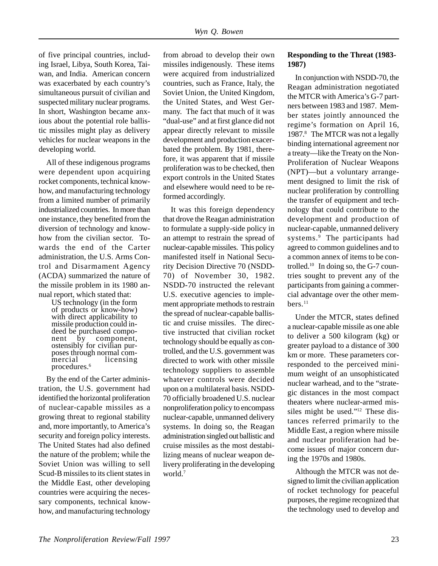of five principal countries, including Israel, Libya, South Korea, Taiwan, and India. American concern was exacerbated by each country's simultaneous pursuit of civilian and suspected military nuclear programs. In short, Washington became anxious about the potential role ballistic missiles might play as delivery vehicles for nuclear weapons in the developing world.

All of these indigenous programs were dependent upon acquiring rocket components, technical knowhow, and manufacturing technology from a limited number of primarily industrialized countries. In more than one instance, they benefited from the diversion of technology and knowhow from the civilian sector. Towards the end of the Carter administration, the U.S. Arms Control and Disarmament Agency (ACDA) summarized the nature of the missile problem in its 1980 annual report, which stated that:

US technology (in the form of products or know-how) with direct applicability to missile production could indeed be purchased component by component, ostensibly for civilian purposes through normal com-<br>mercial licensing licensing procedures.<sup>6</sup>

By the end of the Carter administration, the U.S. government had identified the horizontal proliferation of nuclear-capable missiles as a growing threat to regional stability and, more importantly, to America's security and foreign policy interests. The United States had also defined the nature of the problem; while the Soviet Union was willing to sell Scud-B missiles to its client states in the Middle East, other developing countries were acquiring the necessary components, technical knowhow, and manufacturing technology

from abroad to develop their own missiles indigenously. These items were acquired from industrialized countries, such as France, Italy, the Soviet Union, the United Kingdom, the United States, and West Germany. The fact that much of it was "dual-use" and at first glance did not appear directly relevant to missile development and production exacerbated the problem. By 1981, therefore, it was apparent that if missile proliferation was to be checked, then export controls in the United States and elsewhere would need to be reformed accordingly.

It was this foreign dependency that drove the Reagan administration to formulate a supply-side policy in an attempt to restrain the spread of nuclear-capable missiles. This policy manifested itself in National Security Decision Directive 70 (NSDD-70) of November 30, 1982. NSDD-70 instructed the relevant U.S. executive agencies to implement appropriate methods to restrain the spread of nuclear-capable ballistic and cruise missiles. The directive instructed that civilian rocket technology should be equally as controlled, and the U.S. government was directed to work with other missile technology suppliers to assemble whatever controls were decided upon on a multilateral basis. NSDD-70 officially broadened U.S. nuclear nonproliferation policy to encompass nuclear-capable, unmanned delivery systems. In doing so, the Reagan administration singled out ballistic and cruise missiles as the most destabilizing means of nuclear weapon delivery proliferating in the developing world.<sup>7</sup>

#### **Responding to the Threat (1983- 1987)**

In conjunction with NSDD-70, the Reagan administration negotiated the MTCR with America's G-7 partners between 1983 and 1987. Member states jointly announced the regime's formation on April 16, 1987.8 The MTCR was not a legally binding international agreement nor a treaty—like the Treaty on the Non-Proliferation of Nuclear Weapons (NPT)—but a voluntary arrangement designed to limit the risk of nuclear proliferation by controlling the transfer of equipment and technology that could contribute to the development and production of nuclear-capable, unmanned delivery systems.9 The participants had agreed to common guidelines and to a common annex of items to be controlled.<sup>10</sup> In doing so, the G-7 countries sought to prevent any of the participants from gaining a commercial advantage over the other mem $bers.<sup>11</sup>$ 

Under the MTCR, states defined a nuclear-capable missile as one able to deliver a 500 kilogram (kg) or greater payload to a distance of 300 km or more. These parameters corresponded to the perceived minimum weight of an unsophisticated nuclear warhead, and to the "strategic distances in the most compact theaters where nuclear-armed missiles might be used."12 These distances referred primarily to the Middle East, a region where missile and nuclear proliferation had become issues of major concern during the 1970s and 1980s.

Although the MTCR was not designed to limit the civilian application of rocket technology for peaceful purposes, the regime recognized that the technology used to develop and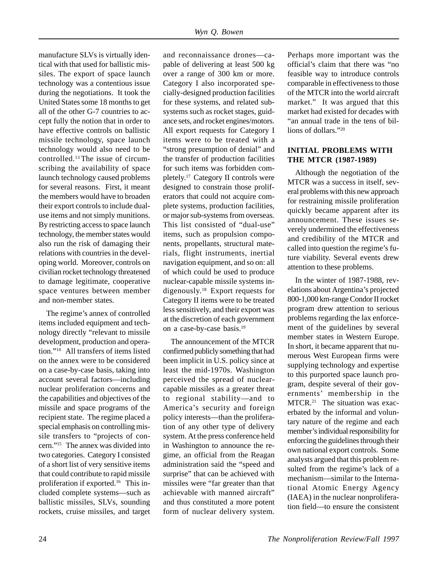manufacture SLVs is virtually identical with that used for ballistic missiles. The export of space launch technology was a contentious issue during the negotiations. It took the United States some 18 months to get all of the other G-7 countries to accept fully the notion that in order to have effective controls on ballistic missile technology, space launch technology would also need to be controlled.13 The issue of circumscribing the availability of space launch technology caused problems for several reasons. First, it meant the members would have to broaden their export controls to include dualuse items and not simply munitions. By restricting access to space launch technology, the member states would also run the risk of damaging their relations with countries in the developing world. Moreover, controls on civilian rocket technology threatened to damage legitimate, cooperative space ventures between member and non-member states.

The regime's annex of controlled items included equipment and technology directly "relevant to missile development, production and operation."14 All transfers of items listed on the annex were to be considered on a case-by-case basis, taking into account several factors—including nuclear proliferation concerns and the capabilities and objectives of the missile and space programs of the recipient state. The regime placed a special emphasis on controlling missile transfers to "projects of concern."15 The annex was divided into two categories. Category I consisted of a short list of very sensitive items that could contribute to rapid missile proliferation if exported.<sup>16</sup> This included complete systems—such as ballistic missiles, SLVs, sounding rockets, cruise missiles, and target

and reconnaissance drones—capable of delivering at least 500 kg over a range of 300 km or more. Category I also incorporated specially-designed production facilities for these systems, and related subsystems such as rocket stages, guidance sets, and rocket engines/motors. All export requests for Category I items were to be treated with a "strong presumption of denial" and the transfer of production facilities for such items was forbidden completely.17 Category II controls were designed to constrain those proliferators that could not acquire complete systems, production facilities, or major sub-systems from overseas. This list consisted of "dual-use" items, such as propulsion components, propellants, structural materials, flight instruments, inertial navigation equipment, and so on: all of which could be used to produce nuclear-capable missile systems indigenously.18 Export requests for Category II items were to be treated less sensitively, and their export was at the discretion of each government on a case-by-case basis.19

The announcement of the MTCR confirmed publicly something that had been implicit in U.S. policy since at least the mid-1970s. Washington perceived the spread of nuclearcapable missiles as a greater threat to regional stability—and to America's security and foreign policy interests—than the proliferation of any other type of delivery system. At the press conference held in Washington to announce the regime, an official from the Reagan administration said the "speed and surprise" that can be achieved with missiles were "far greater than that achievable with manned aircraft" and thus constituted a more potent form of nuclear delivery system.

Perhaps more important was the official's claim that there was "no feasible way to introduce controls comparable in effectiveness to those of the MTCR into the world aircraft market." It was argued that this market had existed for decades with "an annual trade in the tens of billions of dollars."<sup>20</sup>

#### **INITIAL PROBLEMS WITH THE MTCR (1987-1989)**

Although the negotiation of the MTCR was a success in itself, several problems with this new approach for restraining missile proliferation quickly became apparent after its announcement. These issues severely undermined the effectiveness and credibility of the MTCR and called into question the regime's future viability. Several events drew attention to these problems.

In the winter of 1987-1988, revelations about Argentina's projected 800-1,000 km-range Condor II rocket program drew attention to serious problems regarding the lax enforcement of the guidelines by several member states in Western Europe. In short, it became apparent that numerous West European firms were supplying technology and expertise to this purported space launch program, despite several of their governments' membership in the MTCR.21 The situation was exacerbated by the informal and voluntary nature of the regime and each member's individual responsibility for enforcing the guidelines through their own national export controls. Some analysts argued that this problem resulted from the regime's lack of a mechanism—similar to the International Atomic Energy Agency (IAEA) in the nuclear nonproliferation field—to ensure the consistent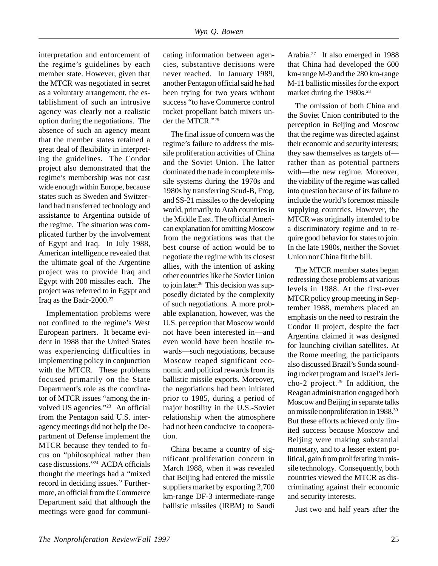interpretation and enforcement of the regime's guidelines by each member state. However, given that the MTCR was negotiated in secret as a voluntary arrangement, the establishment of such an intrusive agency was clearly not a realistic option during the negotiations. The absence of such an agency meant that the member states retained a great deal of flexibility in interpreting the guidelines. The Condor project also demonstrated that the regime's membership was not cast wide enough within Europe, because states such as Sweden and Switzerland had transferred technology and assistance to Argentina outside of the regime. The situation was complicated further by the involvement of Egypt and Iraq. In July 1988, American intelligence revealed that the ultimate goal of the Argentine project was to provide Iraq and Egypt with 200 missiles each. The project was referred to in Egypt and Iraq as the Badr-2000. $^{22}$ 

Implementation problems were not confined to the regime's West European partners. It became evident in 1988 that the United States was experiencing difficulties in implementing policy in conjunction with the MTCR. These problems focused primarily on the State Department's role as the coordinator of MTCR issues "among the involved US agencies."23 An official from the Pentagon said U.S. interagency meetings did not help the Department of Defense implement the MTCR because they tended to focus on "philosophical rather than case discussions."24 ACDA officials thought the meetings had a "mixed record in deciding issues." Furthermore, an official from the Commerce Department said that although the meetings were good for communicating information between agencies, substantive decisions were never reached. In January 1989, another Pentagon official said he had been trying for two years without success "to have Commerce control rocket propellant batch mixers under the MTCR."25

The final issue of concern was the regime's failure to address the missile proliferation activities of China and the Soviet Union. The latter dominated the trade in complete missile systems during the 1970s and 1980s by transferring Scud-B, Frog, and SS-21 missiles to the developing world, primarily to Arab countries in the Middle East. The official American explanation for omitting Moscow from the negotiations was that the best course of action would be to negotiate the regime with its closest allies, with the intention of asking other countries like the Soviet Union to join later.<sup>26</sup> This decision was supposedly dictated by the complexity of such negotiations. A more probable explanation, however, was the U.S. perception that Moscow would not have been interested in—and even would have been hostile towards—such negotiations, because Moscow reaped significant economic and political rewards from its ballistic missile exports. Moreover, the negotiations had been initiated prior to 1985, during a period of major hostility in the U.S.-Soviet relationship when the atmosphere had not been conducive to cooperation.

China became a country of significant proliferation concern in March 1988, when it was revealed that Beijing had entered the missile suppliers market by exporting 2,700 km-range DF-3 intermediate-range ballistic missiles (IRBM) to Saudi

Arabia.27 It also emerged in 1988 that China had developed the 600 km-range M-9 and the 280 km-range M-11 ballistic missiles for the export market during the 1980s.<sup>28</sup>

The omission of both China and the Soviet Union contributed to the perception in Beijing and Moscow that the regime was directed against their economic and security interests; they saw themselves as targets of rather than as potential partners with—the new regime. Moreover, the viability of the regime was called into question because of its failure to include the world's foremost missile supplying countries. However, the MTCR was originally intended to be a discriminatory regime and to require good behavior for states to join. In the late 1980s, neither the Soviet Union nor China fit the bill.

The MTCR member states began redressing these problems at various levels in 1988. At the first-ever MTCR policy group meeting in September 1988, members placed an emphasis on the need to restrain the Condor II project, despite the fact Argentina claimed it was designed for launching civilian satellites. At the Rome meeting, the participants also discussed Brazil's Sonda sounding rocket program and Israel's Jericho-2 project.<sup>29</sup> In addition, the Reagan administration engaged both Moscow and Beijing in separate talks on missile nonproliferation in 1988.30 But these efforts achieved only limited success because Moscow and Beijing were making substantial monetary, and to a lesser extent political, gain from proliferating in missile technology. Consequently, both countries viewed the MTCR as discriminating against their economic and security interests.

Just two and half years after the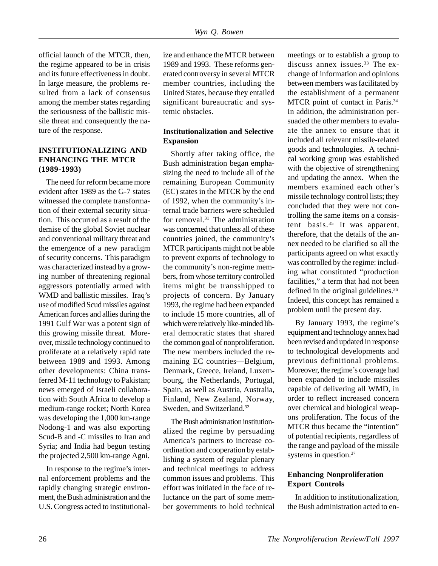official launch of the MTCR, then, the regime appeared to be in crisis and its future effectiveness in doubt. In large measure, the problems resulted from a lack of consensus among the member states regarding the seriousness of the ballistic missile threat and consequently the nature of the response.

## **INSTITUTIONALIZING AND ENHANCING THE MTCR (1989-1993)**

The need for reform became more evident after 1989 as the G-7 states witnessed the complete transformation of their external security situation. This occurred as a result of the demise of the global Soviet nuclear and conventional military threat and the emergence of a new paradigm of security concerns. This paradigm was characterized instead by a growing number of threatening regional aggressors potentially armed with WMD and ballistic missiles. Iraq's use of modified Scud missiles against American forces and allies during the 1991 Gulf War was a potent sign of this growing missile threat. Moreover, missile technology continued to proliferate at a relatively rapid rate between 1989 and 1993. Among other developments: China transferred M-11 technology to Pakistan; news emerged of Israeli collaboration with South Africa to develop a medium-range rocket; North Korea was developing the 1,000 km-range Nodong-1 and was also exporting Scud-B and -C missiles to Iran and Syria; and India had begun testing the projected 2,500 km-range Agni.

In response to the regime's internal enforcement problems and the rapidly changing strategic environment, the Bush administration and the U.S. Congress acted to institutionalize and enhance the MTCR between 1989 and 1993. These reforms generated controversy in several MTCR member countries, including the United States, because they entailed significant bureaucratic and systemic obstacles.

# **Institutionalization and Selective Expansion**

Shortly after taking office, the Bush administration began emphasizing the need to include all of the remaining European Community (EC) states in the MTCR by the end of 1992, when the community's internal trade barriers were scheduled for removal.31 The administration was concerned that unless all of these countries joined, the community's MTCR participants might not be able to prevent exports of technology to the community's non-regime members, from whose territory controlled items might be transshipped to projects of concern. By January 1993, the regime had been expanded to include 15 more countries, all of which were relatively like-minded liberal democratic states that shared the common goal of nonproliferation. The new members included the remaining EC countries—Belgium, Denmark, Greece, Ireland, Luxembourg, the Netherlands, Portugal, Spain, as well as Austria, Australia, Finland, New Zealand, Norway, Sweden, and Switzerland.<sup>32</sup>

The Bush administration institutionalized the regime by persuading America's partners to increase coordination and cooperation by establishing a system of regular plenary and technical meetings to address common issues and problems. This effort was initiated in the face of reluctance on the part of some member governments to hold technical meetings or to establish a group to discuss annex issues. $33$  The exchange of information and opinions between members was facilitated by the establishment of a permanent MTCR point of contact in Paris.34 In addition, the administration persuaded the other members to evaluate the annex to ensure that it included all relevant missile-related goods and technologies. A technical working group was established with the objective of strengthening and updating the annex. When the members examined each other's missile technology control lists; they concluded that they were not controlling the same items on a consistent basis. $35$  It was apparent, therefore, that the details of the annex needed to be clarified so all the participants agreed on what exactly was controlled by the regime: including what constituted "production facilities," a term that had not been defined in the original guidelines.<sup>36</sup> Indeed, this concept has remained a problem until the present day.

By January 1993, the regime's equipment and technology annex had been revised and updated in response to technological developments and previous definitional problems. Moreover, the regime's coverage had been expanded to include missiles capable of delivering all WMD, in order to reflect increased concern over chemical and biological weapons proliferation. The focus of the MTCR thus became the "intention" of potential recipients, regardless of the range and payload of the missile systems in question.<sup>37</sup>

# **Enhancing Nonproliferation Export Controls**

In addition to institutionalization, the Bush administration acted to en-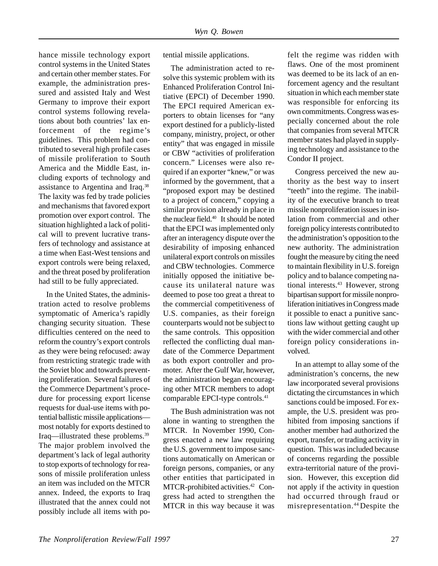hance missile technology export control systems in the United States and certain other member states. For example, the administration pressured and assisted Italy and West Germany to improve their export control systems following revelations about both countries' lax enforcement of the regime's guidelines. This problem had contributed to several high profile cases of missile proliferation to South America and the Middle East, including exports of technology and assistance to Argentina and Iraq.38 The laxity was fed by trade policies and mechanisms that favored export promotion over export control. The situation highlighted a lack of political will to prevent lucrative transfers of technology and assistance at a time when East-West tensions and export controls were being relaxed, and the threat posed by proliferation had still to be fully appreciated.

In the United States, the administration acted to resolve problems symptomatic of America's rapidly changing security situation. These difficulties centered on the need to reform the country's export controls as they were being refocused: away from restricting strategic trade with the Soviet bloc and towards preventing proliferation. Several failures of the Commerce Department's procedure for processing export license requests for dual-use items with potential ballistic missile applications most notably for exports destined to Iraq—illustrated these problems.39 The major problem involved the department's lack of legal authority to stop exports of technology for reasons of missile proliferation unless an item was included on the MTCR annex. Indeed, the exports to Iraq illustrated that the annex could not possibly include all items with potential missile applications.

The administration acted to resolve this systemic problem with its Enhanced Proliferation Control Initiative (EPCI) of December 1990. The EPCI required American exporters to obtain licenses for "any export destined for a publicly-listed company, ministry, project, or other entity" that was engaged in missile or CBW "activities of proliferation concern." Licenses were also required if an exporter "knew," or was informed by the government, that a "proposed export may be destined to a project of concern," copying a similar provision already in place in the nuclear field.40 It should be noted that the EPCI was implemented only after an interagency dispute over the desirability of imposing enhanced unilateral export controls on missiles and CBW technologies. Commerce initially opposed the initiative because its unilateral nature was deemed to pose too great a threat to the commercial competitiveness of U.S. companies, as their foreign counterparts would not be subject to the same controls. This opposition reflected the conflicting dual mandate of the Commerce Department as both export controller and promoter. After the Gulf War, however, the administration began encouraging other MTCR members to adopt comparable EPCI-type controls.41

The Bush administration was not alone in wanting to strengthen the MTCR. In November 1990, Congress enacted a new law requiring the U.S. government to impose sanctions automatically on American or foreign persons, companies, or any other entities that participated in MTCR-prohibited activities.<sup>42</sup> Congress had acted to strengthen the MTCR in this way because it was felt the regime was ridden with flaws. One of the most prominent was deemed to be its lack of an enforcement agency and the resultant situation in which each member state was responsible for enforcing its own commitments. Congress was especially concerned about the role that companies from several MTCR member states had played in supplying technology and assistance to the Condor II project.

Congress perceived the new authority as the best way to insert "teeth" into the regime. The inability of the executive branch to treat missile nonproliferation issues in isolation from commercial and other foreign policy interests contributed to the administration's opposition to the new authority. The administration fought the measure by citing the need to maintain flexibility in U.S. foreign policy and to balance competing national interests.<sup>43</sup> However, strong bipartisan support for missile nonproliferation initiatives in Congress made it possible to enact a punitive sanctions law without getting caught up with the wider commercial and other foreign policy considerations involved.

In an attempt to allay some of the administration's concerns, the new law incorporated several provisions dictating the circumstances in which sanctions could be imposed. For example, the U.S. president was prohibited from imposing sanctions if another member had authorized the export, transfer, or trading activity in question. This was included because of concerns regarding the possible extra-territorial nature of the provision. However, this exception did not apply if the activity in question had occurred through fraud or misrepresentation.<sup>44</sup> Despite the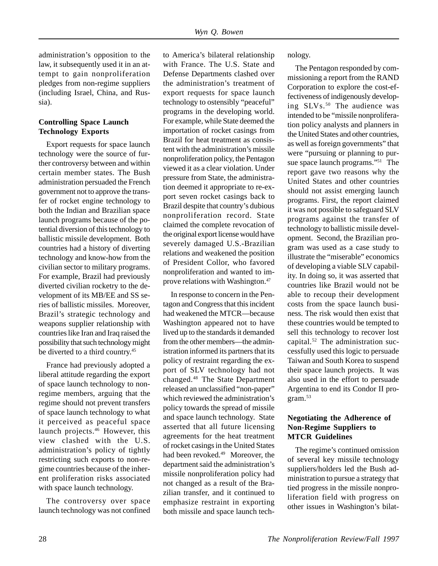administration's opposition to the law, it subsequently used it in an attempt to gain nonproliferation pledges from non-regime suppliers (including Israel, China, and Russia).

# **Controlling Space Launch Technology Exports**

Export requests for space launch technology were the source of further controversy between and within certain member states. The Bush administration persuaded the French government not to approve the transfer of rocket engine technology to both the Indian and Brazilian space launch programs because of the potential diversion of this technology to ballistic missile development. Both countries had a history of diverting technology and know-how from the civilian sector to military programs. For example, Brazil had previously diverted civilian rocketry to the development of its MB/EE and SS series of ballistic missiles. Moreover, Brazil's strategic technology and weapons supplier relationship with countries like Iran and Iraq raised the possibility that such technology might be diverted to a third country.45

France had previously adopted a liberal attitude regarding the export of space launch technology to nonregime members, arguing that the regime should not prevent transfers of space launch technology to what it perceived as peaceful space launch projects.46 However, this view clashed with the U.S. administration's policy of tightly restricting such exports to non-regime countries because of the inherent proliferation risks associated with space launch technology.

The controversy over space launch technology was not confined to America's bilateral relationship with France. The U.S. State and Defense Departments clashed over the administration's treatment of export requests for space launch technology to ostensibly "peaceful" programs in the developing world. For example, while State deemed the importation of rocket casings from Brazil for heat treatment as consistent with the administration's missile nonproliferation policy, the Pentagon viewed it as a clear violation. Under pressure from State, the administration deemed it appropriate to re-export seven rocket casings back to Brazil despite that country's dubious nonproliferation record. State claimed the complete revocation of the original export license would have severely damaged U.S.-Brazilian relations and weakened the position of President Collor, who favored nonproliferation and wanted to improve relations with Washington.<sup>47</sup>

In response to concern in the Pentagon and Congress that this incident had weakened the MTCR—because Washington appeared not to have lived up to the standards it demanded from the other members—the administration informed its partners that its policy of restraint regarding the export of SLV technology had not changed.48 The State Department released an unclassified "non-paper" which reviewed the administration's policy towards the spread of missile and space launch technology. State asserted that all future licensing agreements for the heat treatment of rocket casings in the United States had been revoked.<sup>49</sup> Moreover, the department said the administration's missile nonproliferation policy had not changed as a result of the Brazilian transfer, and it continued to emphasize restraint in exporting both missile and space launch technology.

The Pentagon responded by commissioning a report from the RAND Corporation to explore the cost-effectiveness of indigenously developing SLVs.50 The audience was intended to be "missile nonproliferation policy analysts and planners in the United States and other countries, as well as foreign governments" that were "pursuing or planning to pursue space launch programs."51 The report gave two reasons why the United States and other countries should not assist emerging launch programs. First, the report claimed it was not possible to safeguard SLV programs against the transfer of technology to ballistic missile development. Second, the Brazilian program was used as a case study to illustrate the "miserable" economics of developing a viable SLV capability. In doing so, it was asserted that countries like Brazil would not be able to recoup their development costs from the space launch business. The risk would then exist that these countries would be tempted to sell this technology to recover lost capital.52 The administration successfully used this logic to persuade Taiwan and South Korea to suspend their space launch projects. It was also used in the effort to persuade Argentina to end its Condor II program.53

#### **Negotiating the Adherence of Non-Regime Suppliers to MTCR Guidelines**

The regime's continued omission of several key missile technology suppliers/holders led the Bush administration to pursue a strategy that tied progress in the missile nonproliferation field with progress on other issues in Washington's bilat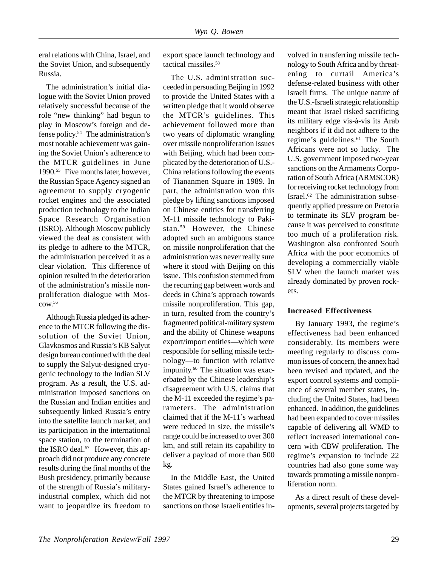eral relations with China, Israel, and the Soviet Union, and subsequently Russia.

The administration's initial dialogue with the Soviet Union proved relatively successful because of the role "new thinking" had begun to play in Moscow's foreign and defense policy.54 The administration's most notable achievement was gaining the Soviet Union's adherence to the MTCR guidelines in June 1990.<sup>55</sup> Five months later, however, the Russian Space Agency signed an agreement to supply cryogenic rocket engines and the associated production technology to the Indian Space Research Organisation (ISRO). Although Moscow publicly viewed the deal as consistent with its pledge to adhere to the MTCR, the administration perceived it as a clear violation. This difference of opinion resulted in the deterioration of the administration's missile nonproliferation dialogue with Moscow.56

Although Russia pledged its adherence to the MTCR following the dissolution of the Soviet Union, Glavkosmos and Russia's KB Salyut design bureau continued with the deal to supply the Salyut-designed cryogenic technology to the Indian SLV program. As a result, the U.S. administration imposed sanctions on the Russian and Indian entities and subsequently linked Russia's entry into the satellite launch market, and its participation in the international space station, to the termination of the ISRO deal.<sup>57</sup> However, this approach did not produce any concrete results during the final months of the Bush presidency, primarily because of the strength of Russia's militaryindustrial complex, which did not want to jeopardize its freedom to

export space launch technology and tactical missiles<sup>58</sup>

The U.S. administration succeeded in persuading Beijing in 1992 to provide the United States with a written pledge that it would observe the MTCR's guidelines. This achievement followed more than two years of diplomatic wrangling over missile nonproliferation issues with Beijing, which had been complicated by the deterioration of U.S.- China relations following the events of Tiananmen Square in 1989. In part, the administration won this pledge by lifting sanctions imposed on Chinese entities for transferring M-11 missile technology to Pakistan.59 However, the Chinese adopted such an ambiguous stance on missile nonproliferation that the administration was never really sure where it stood with Beijing on this issue. This confusion stemmed from the recurring gap between words and deeds in China's approach towards missile nonproliferation. This gap, in turn, resulted from the country's fragmented political-military system and the ability of Chinese weapons export/import entities—which were responsible for selling missile technology—to function with relative impunity.<sup>60</sup> The situation was exacerbated by the Chinese leadership's disagreement with U.S. claims that the M-11 exceeded the regime's parameters. The administration claimed that if the M-11's warhead were reduced in size, the missile's range could be increased to over 300 km, and still retain its capability to deliver a payload of more than 500 kg.

In the Middle East, the United States gained Israel's adherence to the MTCR by threatening to impose sanctions on those Israeli entities in-

volved in transferring missile technology to South Africa and by threatening to curtail America's defense-related business with other Israeli firms. The unique nature of the U.S.-Israeli strategic relationship meant that Israel risked sacrificing its military edge vis-à-vis its Arab neighbors if it did not adhere to the regime's guidelines.<sup>61</sup> The South Africans were not so lucky. The U.S. government imposed two-year sanctions on the Armaments Corporation of South Africa (ARMSCOR) for receiving rocket technology from Israel.62 The administration subsequently applied pressure on Pretoria to terminate its SLV program because it was perceived to constitute too much of a proliferation risk. Washington also confronted South Africa with the poor economics of developing a commercially viable SLV when the launch market was already dominated by proven rockets.

#### **Increased Effectiveness**

By January 1993, the regime's effectiveness had been enhanced considerably. Its members were meeting regularly to discuss common issues of concern, the annex had been revised and updated, and the export control systems and compliance of several member states, including the United States, had been enhanced. In addition, the guidelines had been expanded to cover missiles capable of delivering all WMD to reflect increased international concern with CBW proliferation. The regime's expansion to include 22 countries had also gone some way towards promoting a missile nonproliferation norm.

As a direct result of these developments, several projects targeted by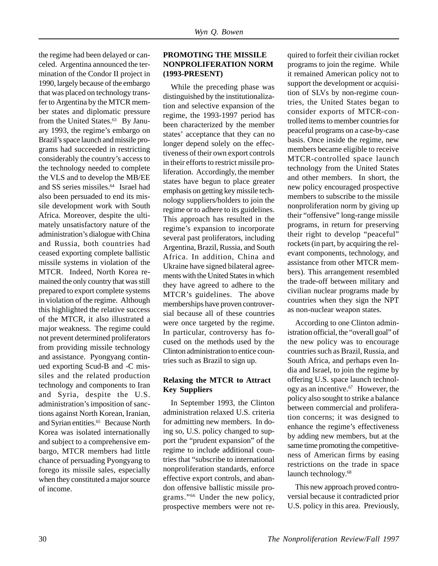the regime had been delayed or canceled. Argentina announced the termination of the Condor II project in 1990, largely because of the embargo that was placed on technology transfer to Argentina by the MTCR member states and diplomatic pressure from the United States.<sup>63</sup> By January 1993, the regime's embargo on Brazil's space launch and missile programs had succeeded in restricting considerably the country's access to the technology needed to complete the VLS and to develop the MB/EE and SS series missiles.64 Israel had also been persuaded to end its missile development work with South Africa. Moreover, despite the ultimately unsatisfactory nature of the administration's dialogue with China and Russia, both countries had ceased exporting complete ballistic missile systems in violation of the MTCR. Indeed, North Korea remained the only country that was still prepared to export complete systems in violation of the regime. Although this highlighted the relative success of the MTCR, it also illustrated a major weakness. The regime could not prevent determined proliferators from providing missile technology and assistance. Pyongyang continued exporting Scud-B and -C missiles and the related production technology and components to Iran and Syria, despite the U.S. administration's imposition of sanctions against North Korean, Iranian, and Syrian entities.<sup>65</sup> Because North Korea was isolated internationally and subject to a comprehensive embargo, MTCR members had little chance of persuading Pyongyang to forego its missile sales, especially when they constituted a major source of income.

#### **PROMOTING THE MISSILE NONPROLIFERATION NORM (1993-PRESENT)**

While the preceding phase was distinguished by the institutionalization and selective expansion of the regime, the 1993-1997 period has been characterized by the member states' acceptance that they can no longer depend solely on the effectiveness of their own export controls in their efforts to restrict missile proliferation. Accordingly, the member states have begun to place greater emphasis on getting key missile technology suppliers/holders to join the regime or to adhere to its guidelines. This approach has resulted in the regime's expansion to incorporate several past proliferators, including Argentina, Brazil, Russia, and South Africa. In addition, China and Ukraine have signed bilateral agreements with the United States in which they have agreed to adhere to the MTCR's guidelines. The above memberships have proven controversial because all of these countries were once targeted by the regime. In particular, controversy has focused on the methods used by the Clinton administration to entice countries such as Brazil to sign up.

# **Relaxing the MTCR to Attract Key Suppliers**

In September 1993, the Clinton administration relaxed U.S. criteria for admitting new members. In doing so, U.S. policy changed to support the "prudent expansion" of the regime to include additional countries that "subscribe to international nonproliferation standards, enforce effective export controls, and abandon offensive ballistic missile programs."66 Under the new policy, prospective members were not re-

quired to forfeit their civilian rocket programs to join the regime. While it remained American policy not to support the development or acquisition of SLVs by non-regime countries, the United States began to consider exports of MTCR-controlled items to member countries for peaceful programs on a case-by-case basis. Once inside the regime, new members became eligible to receive MTCR-controlled space launch technology from the United States and other members. In short, the new policy encouraged prospective members to subscribe to the missile nonproliferation norm by giving up their "offensive" long-range missile programs, in return for preserving their right to develop "peaceful" rockets (in part, by acquiring the relevant components, technology, and assistance from other MTCR members). This arrangement resembled the trade-off between military and civilian nuclear programs made by countries when they sign the NPT as non-nuclear weapon states.

According to one Clinton administration official, the "overall goal" of the new policy was to encourage countries such as Brazil, Russia, and South Africa, and perhaps even India and Israel, to join the regime by offering U.S. space launch technology as an incentive.<sup>67</sup> However, the policy also sought to strike a balance between commercial and proliferation concerns; it was designed to enhance the regime's effectiveness by adding new members, but at the same time promoting the competitiveness of American firms by easing restrictions on the trade in space launch technology.<sup>68</sup>

This new approach proved controversial because it contradicted prior U.S. policy in this area. Previously,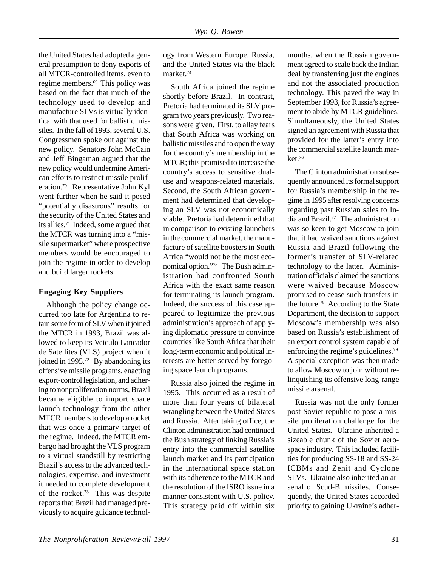the United States had adopted a general presumption to deny exports of all MTCR-controlled items, even to regime members.69 This policy was based on the fact that much of the technology used to develop and manufacture SLVs is virtually identical with that used for ballistic missiles. In the fall of 1993, several U.S. Congressmen spoke out against the new policy. Senators John McCain and Jeff Bingaman argued that the new policy would undermine American efforts to restrict missile proliferation.70 Representative John Kyl went further when he said it posed "potentially disastrous" results for the security of the United States and its allies.71 Indeed, some argued that the MTCR was turning into a "missile supermarket" where prospective members would be encouraged to join the regime in order to develop and build larger rockets.

#### **Engaging Key Suppliers**

Although the policy change occurred too late for Argentina to retain some form of SLV when it joined the MTCR in 1993, Brazil was allowed to keep its Veiculo Lancador de Satellites (VLS) project when it joined in 1995.<sup>72</sup> By abandoning its offensive missile programs, enacting export-control legislation, and adhering to nonproliferation norms, Brazil became eligible to import space launch technology from the other MTCR members to develop a rocket that was once a primary target of the regime. Indeed, the MTCR embargo had brought the VLS program to a virtual standstill by restricting Brazil's access to the advanced technologies, expertise, and investment it needed to complete development of the rocket.73 This was despite reports that Brazil had managed previously to acquire guidance technology from Western Europe, Russia, and the United States via the black market.74

South Africa joined the regime shortly before Brazil. In contrast, Pretoria had terminated its SLV program two years previously. Two reasons were given. First, to allay fears that South Africa was working on ballistic missiles and to open the way for the country's membership in the MTCR; this promised to increase the country's access to sensitive dualuse and weapons-related materials. Second, the South African government had determined that developing an SLV was not economically viable. Pretoria had determined that in comparison to existing launchers in the commercial market, the manufacture of satellite boosters in South Africa "would not be the most economical option."75 The Bush administration had confronted South Africa with the exact same reason for terminating its launch program. Indeed, the success of this case appeared to legitimize the previous administration's approach of applying diplomatic pressure to convince countries like South Africa that their long-term economic and political interests are better served by foregoing space launch programs.

Russia also joined the regime in 1995. This occurred as a result of more than four years of bilateral wrangling between the United States and Russia. After taking office, the Clinton administration had continued the Bush strategy of linking Russia's entry into the commercial satellite launch market and its participation in the international space station with its adherence to the MTCR and the resolution of the ISRO issue in a manner consistent with U.S. policy. This strategy paid off within six months, when the Russian government agreed to scale back the Indian deal by transferring just the engines and not the associated production technology. This paved the way in September 1993, for Russia's agreement to abide by MTCR guidelines. Simultaneously, the United States signed an agreement with Russia that provided for the latter's entry into the commercial satellite launch mar $ket^{76}$ 

The Clinton administration subsequently announced its formal support for Russia's membership in the regime in 1995 after resolving concerns regarding past Russian sales to India and Brazil.77 The administration was so keen to get Moscow to join that it had waived sanctions against Russia and Brazil following the former's transfer of SLV-related technology to the latter. Administration officials claimed the sanctions were waived because Moscow promised to cease such transfers in the future.78 According to the State Department, the decision to support Moscow's membership was also based on Russia's establishment of an export control system capable of enforcing the regime's guidelines.<sup>79</sup> A special exception was then made to allow Moscow to join without relinquishing its offensive long-range missile arsenal.

Russia was not the only former post-Soviet republic to pose a missile proliferation challenge for the United States. Ukraine inherited a sizeable chunk of the Soviet aerospace industry. This included facilities for producing SS-18 and SS-24 ICBMs and Zenit and Cyclone SLVs. Ukraine also inherited an arsenal of Scud-B missiles. Consequently, the United States accorded priority to gaining Ukraine's adher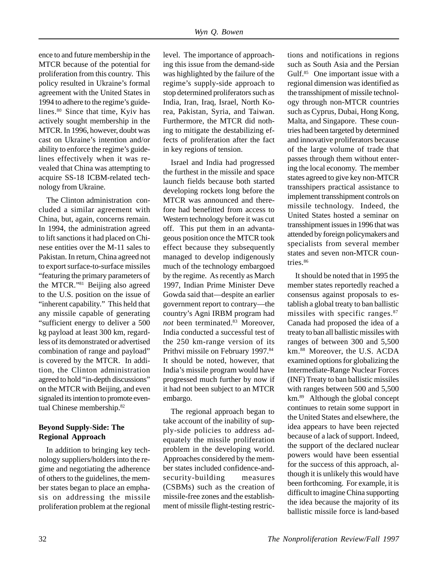ence to and future membership in the MTCR because of the potential for proliferation from this country. This policy resulted in Ukraine's formal agreement with the United States in 1994 to adhere to the regime's guidelines.80 Since that time, Kyiv has actively sought membership in the MTCR. In 1996, however, doubt was cast on Ukraine's intention and/or ability to enforce the regime's guidelines effectively when it was revealed that China was attempting to acquire SS-18 ICBM-related technology from Ukraine.

The Clinton administration concluded a similar agreement with China, but, again, concerns remain. In 1994, the administration agreed to lift sanctions it had placed on Chinese entities over the M-11 sales to Pakistan. In return, China agreed not to export surface-to-surface missiles "featuring the primary parameters of the MTCR."81 Beijing also agreed to the U.S. position on the issue of "inherent capability." This held that any missile capable of generating "sufficient energy to deliver a 500 kg payload at least 300 km, regardless of its demonstrated or advertised combination of range and payload" is covered by the MTCR. In addition, the Clinton administration agreed to hold "in-depth discussions" on the MTCR with Beijing, and even signaled its intention to promote eventual Chinese membership.82

# **Beyond Supply-Side: The Regional Approach**

In addition to bringing key technology suppliers/holders into the regime and negotiating the adherence of others to the guidelines, the member states began to place an emphasis on addressing the missile proliferation problem at the regional level. The importance of approaching this issue from the demand-side was highlighted by the failure of the regime's supply-side approach to stop determined proliferators such as India, Iran, Iraq, Israel, North Korea, Pakistan, Syria, and Taiwan. Furthermore, the MTCR did nothing to mitigate the destabilizing effects of proliferation after the fact in key regions of tension.

Israel and India had progressed the furthest in the missile and space launch fields because both started developing rockets long before the MTCR was announced and therefore had benefitted from access to Western technology before it was cut off. This put them in an advantageous position once the MTCR took effect because they subsequently managed to develop indigenously much of the technology embargoed by the regime. As recently as March 1997, Indian Prime Minister Deve Gowda said that—despite an earlier government report to contrary—the country's Agni IRBM program had *not* been terminated.<sup>83</sup> Moreover, India conducted a successful test of the 250 km-range version of its Prithvi missile on February 1997.<sup>84</sup> It should be noted, however, that India's missile program would have progressed much further by now if it had not been subject to an MTCR embargo.

The regional approach began to take account of the inability of supply-side policies to address adequately the missile proliferation problem in the developing world. Approaches considered by the member states included confidence-andsecurity-building measures (CSBMs) such as the creation of missile-free zones and the establishment of missile flight-testing restric-

tions and notifications in regions such as South Asia and the Persian Gulf.<sup>85</sup> One important issue with a regional dimension was identified as the transshipment of missile technology through non-MTCR countries such as Cyprus, Dubai, Hong Kong, Malta, and Singapore. These countries had been targeted by determined and innovative proliferators because of the large volume of trade that passes through them without entering the local economy. The member states agreed to give key non-MTCR transshipers practical assistance to implement transshipment controls on missile technology. Indeed, the United States hosted a seminar on transshipment issues in 1996 that was attended by foreign policymakers and specialists from several member states and seven non-MTCR countries.<sup>86</sup>

It should be noted that in 1995 the member states reportedly reached a consensus against proposals to establish a global treaty to ban ballistic missiles with specific ranges.<sup>87</sup> Canada had proposed the idea of a treaty to ban all ballistic missiles with ranges of between 300 and 5,500 km.<sup>88</sup> Moreover, the U.S. ACDA examined options for globalizing the Intermediate-Range Nuclear Forces (INF) Treaty to ban ballistic missiles with ranges between 500 and 5,500 km.89 Although the global concept continues to retain some support in the United States and elsewhere, the idea appears to have been rejected because of a lack of support. Indeed, the support of the declared nuclear powers would have been essential for the success of this approach, although it is unlikely this would have been forthcoming. For example, it is difficult to imagine China supporting the idea because the majority of its ballistic missile force is land-based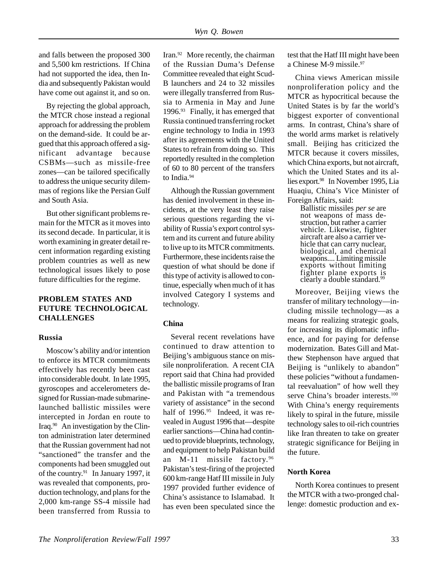and falls between the proposed 300 and 5,500 km restrictions. If China had not supported the idea, then India and subsequently Pakistan would have come out against it, and so on.

By rejecting the global approach, the MTCR chose instead a regional approach for addressing the problem on the demand-side. It could be argued that this approach offered a significant advantage because CSBMs—such as missile-free zones—can be tailored specifically to address the unique security dilemmas of regions like the Persian Gulf and South Asia.

But other significant problems remain for the MTCR as it moves into its second decade. In particular, it is worth examining in greater detail recent information regarding existing problem countries as well as new technological issues likely to pose future difficulties for the regime.

# **PROBLEM STATES AND FUTURE TECHNOLOGICAL CHALLENGES**

#### **Russia**

Moscow's ability and/or intention to enforce its MTCR commitments effectively has recently been cast into considerable doubt. In late 1995, gyroscopes and accelerometers designed for Russian-made submarinelaunched ballistic missiles were intercepted in Jordan en route to Iraq.90 An investigation by the Clinton administration later determined that the Russian government had not "sanctioned" the transfer and the components had been smuggled out of the country.<sup>91</sup> In January 1997, it was revealed that components, production technology, and plans for the 2,000 km-range SS-4 missile had been transferred from Russia to Iran.92 More recently, the chairman of the Russian Duma's Defense Committee revealed that eight Scud-B launchers and 24 to 32 missiles were illegally transferred from Russia to Armenia in May and June 1996.93 Finally, it has emerged that Russia continued transferring rocket engine technology to India in 1993 after its agreements with the United States to refrain from doing so. This reportedly resulted in the completion of 60 to 80 percent of the transfers to India.<sup>94</sup>

Although the Russian government has denied involvement in these incidents, at the very least they raise serious questions regarding the viability of Russia's export control system and its current and future ability to live up to its MTCR commitments. Furthermore, these incidents raise the question of what should be done if this type of activity is allowed to continue, especially when much of it has involved Category I systems and technology.

#### **China**

Several recent revelations have continued to draw attention to Beijing's ambiguous stance on missile nonproliferation. A recent CIA report said that China had provided the ballistic missile programs of Iran and Pakistan with "a tremendous variety of assistance" in the second half of 1996.<sup>95</sup> Indeed, it was revealed in August 1996 that—despite earlier sanctions—China had continued to provide blueprints, technology, and equipment to help Pakistan build an M-11 missile factory. <sup>96</sup> Pakistan's test-firing of the projected 600 km-range Hatf III missile in July 1997 provided further evidence of China's assistance to Islamabad. It has even been speculated since the test that the Hatf III might have been a Chinese M-9 missile.<sup>97</sup>

China views American missile nonproliferation policy and the MTCR as hypocritical because the United States is by far the world's biggest exporter of conventional arms. In contrast, China's share of the world arms market is relatively small. Beijing has criticized the MTCR because it covers missiles, which China exports, but not aircraft, which the United States and its allies export.<sup>98</sup> In November 1995, Lia Huaqiu, China's Vice Minister of Foreign Affairs, said:

Ballistic missiles *per se* are not weapons of mass destruction, but rather a carrier vehicle. Likewise, fighter aircraft are also a carrier vehicle that can carry nuclear, biological, and chemical weapons.... Limiting missile exports without limiting fighter plane exports is clearly a double standard.<sup>99</sup>

Moreover, Beijing views the transfer of military technology—including missile technology—as a means for realizing strategic goals, for increasing its diplomatic influence, and for paying for defense modernization. Bates Gill and Matthew Stephenson have argued that Beijing is "unlikely to abandon" these policies "without a fundamental reevaluation" of how well they serve China's broader interests.<sup>100</sup> With China's energy requirements likely to spiral in the future, missile technology sales to oil-rich countries like Iran threaten to take on greater strategic significance for Beijing in the future.

# **North Korea**

North Korea continues to present the MTCR with a two-pronged challenge: domestic production and ex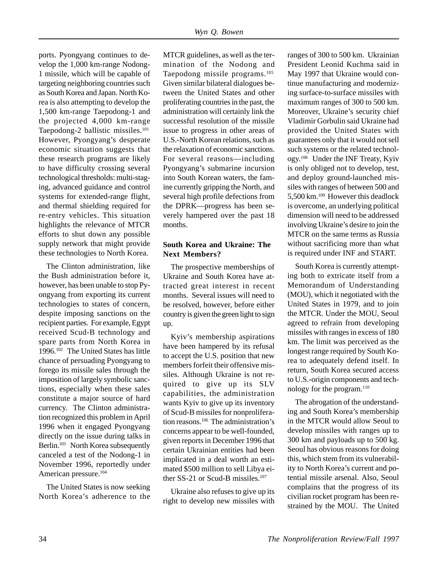ports. Pyongyang continues to develop the 1,000 km-range Nodong-1 missile, which will be capable of targeting neighboring countries such as South Korea and Japan. North Korea is also attempting to develop the 1,500 km-range Taepodong-1 and the projected 4,000 km-range Taepodong-2 ballistic missiles.<sup>101</sup> However, Pyongyang's desperate economic situation suggests that these research programs are likely to have difficulty crossing several technological thresholds: multi-staging, advanced guidance and control systems for extended-range flight, and thermal shielding required for re-entry vehicles. This situation highlights the relevance of MTCR efforts to shut down any possible supply network that might provide these technologies to North Korea.

The Clinton administration, like the Bush administration before it, however, has been unable to stop Pyongyang from exporting its current technologies to states of concern, despite imposing sanctions on the recipient parties. For example, Egypt received Scud-B technology and spare parts from North Korea in 1996.102 The United States has little chance of persuading Pyongyang to forego its missile sales through the imposition of largely symbolic sanctions, especially when these sales constitute a major source of hard currency. The Clinton administration recognized this problem in April 1996 when it engaged Pyongyang directly on the issue during talks in Berlin.103 North Korea subsequently canceled a test of the Nodong-1 in November 1996, reportedly under American pressure.104

The United States is now seeking North Korea's adherence to the MTCR guidelines, as well as the termination of the Nodong and Taepodong missile programs.<sup>105</sup> Given similar bilateral dialogues between the United States and other proliferating countries in the past, the administration will certainly link the successful resolution of the missile issue to progress in other areas of U.S.-North Korean relations, such as the relaxation of economic sanctions. For several reasons—including Pyongyang's submarine incursion into South Korean waters, the famine currently gripping the North, and several high profile defections from the DPRK—progress has been severely hampered over the past 18 months.

# **South Korea and Ukraine: The Next Members?**

The prospective memberships of Ukraine and South Korea have attracted great interest in recent months. Several issues will need to be resolved, however, before either country is given the green light to sign up.

Kyiv's membership aspirations have been hampered by its refusal to accept the U.S. position that new members forfeit their offensive missiles. Although Ukraine is not required to give up its SLV capabilities, the administration wants Kyiv to give up its inventory of Scud-B missiles for nonproliferation reasons.106 The administration's concerns appear to be well-founded, given reports in December 1996 that certain Ukrainian entities had been implicated in a deal worth an estimated \$500 million to sell Libya either SS-21 or Scud-B missiles.<sup>107</sup>

Ukraine also refuses to give up its right to develop new missiles with ranges of 300 to 500 km. Ukrainian President Leonid Kuchma said in May 1997 that Ukraine would continue manufacturing and modernizing surface-to-surface missiles with maximum ranges of 300 to 500 km. Moreover, Ukraine's security chief Vladimir Gorbulin said Ukraine had provided the United States with guarantees only that it would not sell such systems or the related technology.108 Under the INF Treaty, Kyiv is only obliged not to develop, test, and deploy ground-launched missiles with ranges of between 500 and 5,500 km.109 However this deadlock is overcome, an underlying political dimension will need to be addressed involving Ukraine's desire to join the MTCR on the same terms as Russia without sacrificing more than what is required under INF and START.

South Korea is currently attempting both to extricate itself from a Memorandum of Understanding (MOU), which it negotiated with the United States in 1979, and to join the MTCR. Under the MOU, Seoul agreed to refrain from developing missiles with ranges in excess of 180 km. The limit was perceived as the longest range required by South Korea to adequately defend itself. In return, South Korea secured access to U.S.-origin components and technology for the program.<sup>110</sup>

The abrogation of the understanding and South Korea's membership in the MTCR would allow Seoul to develop missiles with ranges up to 300 km and payloads up to 500 kg. Seoul has obvious reasons for doing this, which stem from its vulnerability to North Korea's current and potential missile arsenal. Also, Seoul complains that the progress of its civilian rocket program has been restrained by the MOU. The United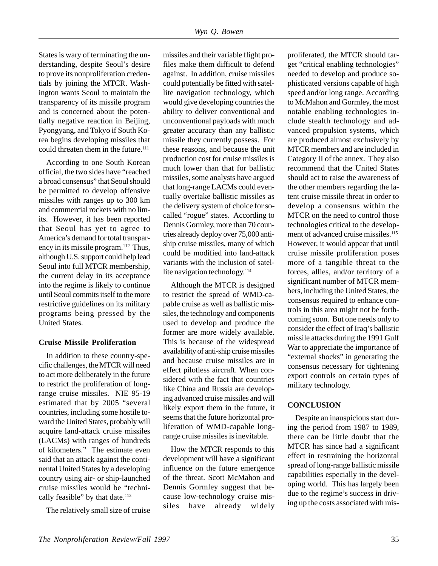States is wary of terminating the understanding, despite Seoul's desire to prove its nonproliferation credentials by joining the MTCR. Washington wants Seoul to maintain the transparency of its missile program and is concerned about the potentially negative reaction in Beijing, Pyongyang, and Tokyo if South Korea begins developing missiles that could threaten them in the future.<sup>111</sup>

According to one South Korean official, the two sides have "reached a broad consensus" that Seoul should be permitted to develop offensive missiles with ranges up to 300 km and commercial rockets with no limits. However, it has been reported that Seoul has yet to agree to America's demand for total transparency in its missile program.<sup>112</sup> Thus, although U.S. support could help lead Seoul into full MTCR membership, the current delay in its acceptance into the regime is likely to continue until Seoul commits itself to the more restrictive guidelines on its military programs being pressed by the United States.

#### **Cruise Missile Proliferation**

In addition to these country-specific challenges, the MTCR will need to act more deliberately in the future to restrict the proliferation of longrange cruise missiles. NIE 95-19 estimated that by 2005 "several countries, including some hostile toward the United States, probably will acquire land-attack cruise missiles (LACMs) with ranges of hundreds of kilometers." The estimate even said that an attack against the continental United States by a developing country using air- or ship-launched cruise missiles would be "technically feasible" by that date.<sup>113</sup>

The relatively small size of cruise

missiles and their variable flight profiles make them difficult to defend against. In addition, cruise missiles could potentially be fitted with satellite navigation technology, which would give developing countries the ability to deliver conventional and unconventional payloads with much greater accuracy than any ballistic missile they currently possess. For these reasons, and because the unit production cost for cruise missiles is much lower than that for ballistic missiles, some analysts have argued that long-range LACMs could eventually overtake ballistic missiles as the delivery system of choice for socalled "rogue" states. According to Dennis Gormley, more than 70 countries already deploy over 75,000 antiship cruise missiles, many of which could be modified into land-attack variants with the inclusion of satellite navigation technology.<sup>114</sup>

Although the MTCR is designed to restrict the spread of WMD-capable cruise as well as ballistic missiles, the technology and components used to develop and produce the former are more widely available. This is because of the widespread availability of anti-ship cruise missiles and because cruise missiles are in effect pilotless aircraft. When considered with the fact that countries like China and Russia are developing advanced cruise missiles and will likely export them in the future, it seems that the future horizontal proliferation of WMD-capable longrange cruise missiles is inevitable.

How the MTCR responds to this development will have a significant influence on the future emergence of the threat. Scott McMahon and Dennis Gormley suggest that because low-technology cruise missiles have already widely

proliferated, the MTCR should target "critical enabling technologies" needed to develop and produce sophisticated versions capable of high speed and/or long range. According to McMahon and Gormley, the most notable enabling technologies include stealth technology and advanced propulsion systems, which are produced almost exclusively by MTCR members and are included in Category II of the annex. They also recommend that the United States should act to raise the awareness of the other members regarding the latent cruise missile threat in order to develop a consensus within the MTCR on the need to control those technologies critical to the development of advanced cruise missiles.<sup>115</sup> However, it would appear that until cruise missile proliferation poses more of a tangible threat to the forces, allies, and/or territory of a significant number of MTCR members, including the United States, the consensus required to enhance controls in this area might not be forthcoming soon. But one needs only to consider the effect of Iraq's ballistic missile attacks during the 1991 Gulf War to appreciate the importance of "external shocks" in generating the consensus necessary for tightening export controls on certain types of military technology.

# **CONCLUSION**

Despite an inauspicious start during the period from 1987 to 1989, there can be little doubt that the MTCR has since had a significant effect in restraining the horizontal spread of long-range ballistic missile capabilities especially in the developing world. This has largely been due to the regime's success in driving up the costs associated with mis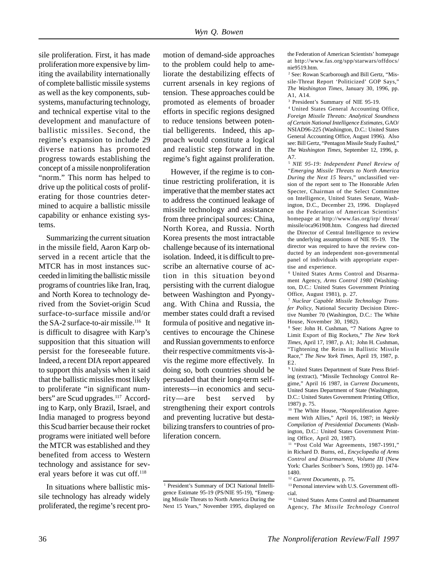sile proliferation. First, it has made proliferation more expensive by limiting the availability internationally of complete ballistic missile systems as well as the key components, subsystems, manufacturing technology, and technical expertise vital to the development and manufacture of ballistic missiles. Second, the regime's expansion to include 29 diverse nations has promoted progress towards establishing the concept of a missile nonproliferation "norm." This norm has helped to drive up the political costs of proliferating for those countries determined to acquire a ballistic missile capability or enhance existing systems.

Summarizing the current situation in the missile field, Aaron Karp observed in a recent article that the MTCR has in most instances succeeded in limiting the ballistic missile programs of countries like Iran, Iraq, and North Korea to technology derived from the Soviet-origin Scud surface-to-surface missile and/or the SA-2 surface-to-air missile.<sup>116</sup> It is difficult to disagree with Karp's supposition that this situation will persist for the foreseeable future. Indeed, a recent DIA report appeared to support this analysis when it said that the ballistic missiles most likely to proliferate "in significant numbers" are Scud upgrades.117 According to Karp, only Brazil, Israel, and India managed to progress beyond this Scud barrier because their rocket programs were initiated well before the MTCR was established and they benefited from access to Western technology and assistance for several years before it was cut off.118

In situations where ballistic missile technology has already widely proliferated, the regime's recent promotion of demand-side approaches to the problem could help to ameliorate the destabilizing effects of current arsenals in key regions of tension. These approaches could be promoted as elements of broader efforts in specific regions designed to reduce tensions between potential belligerents. Indeed, this approach would constitute a logical and realistic step forward in the regime's fight against proliferation.

However, if the regime is to continue restricting proliferation, it is imperative that the member states act to address the continued leakage of missile technology and assistance from three principal sources: China, North Korea, and Russia. North Korea presents the most intractable challenge because of its international isolation. Indeed, it is difficult to prescribe an alternative course of action in this situation beyond persisting with the current dialogue between Washington and Pyongyang. With China and Russia, the member states could draft a revised formula of positive and negative incentives to encourage the Chinese and Russian governments to enforce their respective commitments vis-àvis the regime more effectively. In doing so, both countries should be persuaded that their long-term selfinterests—in economics and security—are best served by strengthening their export controls and preventing lucrative but destabilizing transfers to countries of proliferation concern.

the Federation of American Scientists' homepage at http://www.fas.org/spp/starwars/offdocs/ nie9519.htm.

<sup>2</sup> See: Rowan Scarborough and Bill Gertz, "Missile-Threat Report 'Politicized' GOP Says," *The Washington Times*, January 30, 1996, pp. A1, A14.

3 President's Summary of NIE 95-19.

4 United States General Accounting Office, *Foreign Missile Threats: Analytical Soundness of Certain National Intelligence Estimates*, GAO/ NSIAD96-225 (Washington, D.C.: United States General Accounting Office, August 1996). Also see: Bill Gertz, "Pentagon Missile Study Faulted," *The Washington Times*, September 12, 1996, p. A7.

<sup>5</sup> *NIE 95-19: Independent Panel Review of "Emerging Missile Threats to North America During the Next 15 Years*," unclassified version of the report sent to The Honorable Arlen Specter, Chairman of the Select Committee on Intelligence, United States Senate, Washington, D.C., December 23, 1996. Displayed on the Federation of American Scientists' homepage at http://www.fas.org/irp/ threat/ missile/oca961908.htm. Congress had directed the Director of Central Intelligence to review the underlying assumptions of NIE 95-19. The director was required to have the review conducted by an independent non-governmental panel of individuals with appropriate expertise and experience.

6 United States Arms Control and Disarmament Agency, *Arms Control 1980* (Washington, D.C.: United States Government Printing Office, August 1981), p. 27.

<sup>7</sup> *Nuclear Capable Missile Technology Transfer Policy*, National Security Decision Directive Number 70 (Washington, D.C.: The White House, November 30, 1982).

8 See: John H. Cushman, "7 Nations Agree to Limit Export of Big Rockets," *The New York Times*, April 17, 1987, p. A1; John H. Cushman, "Tightening the Reins in Ballistic Missile Race," *The New York Times*, April 19, 1987, p. E2.

9 United States Department of State Press Briefing (extract), "Missile Technology Control Regime," April 16 1987, in *Current Documents,* United States Department of State (Washington, D.C.: United States Government Printing Office, 1987) p. 75.

<sup>10</sup> The White House, "Nonproliferation Agreement With Allies," April 16, 1987; in *Weekly Compilation of Presidential Documents* (Washington, D.C.: United States Government Printing Office, April 20, 1987).

<sup>11</sup> "Post Cold War Agreements, 1987-1991," in Richard D. Burns, ed., *Encyclopedia of Arms Control and Disarmament, Volume III* (New York: Charles Scribner's Sons, 1993) pp. 1474- 1480.

<sup>&</sup>lt;sup>1</sup> President's Summary of DCI National Intelligence Estimate 95-19 (PS/NIE 95-19), "Emerging Missile Threats to North America During the Next 15 Years," November 1995, displayed on

<sup>12</sup> *Current Documents*, p. 75.

<sup>&</sup>lt;sup>13</sup> Personal interview with U.S. Government official.

<sup>14</sup> United States Arms Control and Disarmament Agency, *The Missile Technology Control*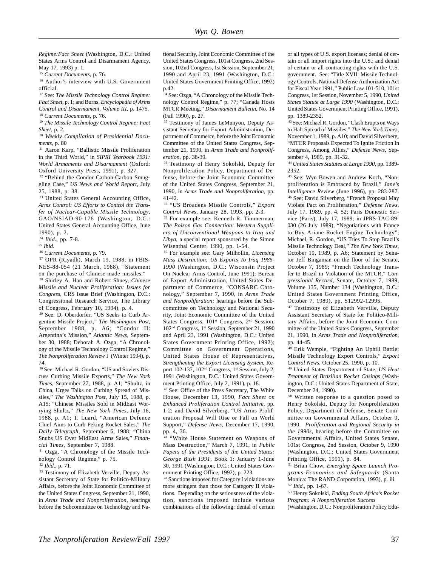*Regime:Fact Sheet* (Washington, D.C.: United States Arms Control and Disarmament Agency, May 17, 1993) p. 1.

<sup>15</sup> *Current Documents*, p. 76.

16 Author's interview with U.S. Government official.

17 See: *The Missile Technology Control Regime: Fact Sheet*, p. 1; and Burns, *Encyclopedia of Arms Control and Disarmament, Volume III,* p. 1475. <sup>18</sup> *Current Documents*, p. 76.

<sup>19</sup> *The Missile Technology Control Regime: Fact Sheet*, p. 2.

<sup>20</sup> *Weekly Compilation of Presidential Documents*, p. 80

21 Aaron Karp, "Ballistic Missile Proliferation in the Third World," in *SIPRI Yearbook 1991: World Armaments and Disarmament* (Oxford: Oxford University Press, 1991), p. 327.

22 "Behind the Condor Carbon-Carbon Smuggling Case," *US News and World Report*, July 25, 1988, p. 38.

23 United States General Accounting Office, *Arms Control: US Efforts to Control the Transfer of Nuclear-Capable Missile Technology*, GAO/NSIAD-90-176 (Washington, D.C.: United States General Accounting Office, June 1990), p. 2.

<sup>24</sup> *Ibid.*, pp. 7-8.

<sup>25</sup> *Ibid.*

<sup>26</sup> *Current Documents*, p. 79.

27 OPR (Riyadh), March 19, 1988; in FBIS-NES-88-054 (21 March, 1988), "Statement on the purchase of Chinese-made missiles."

28 Shirley A. Han and Robert Shuey, *Chinese Missile and Nuclear Proliferation: Issues for Congress*, CRS Issue Brief (Washington, D.C.: Congressional Research Service, The Library of Congress, February 10, 1994), p. 4.

29 See: D. Oberdorfer, "US Seeks to Curb Argentine Missile Project," *The Washington Post*, September 1988, p. A6; "Condor II: Argentina's Mission," *Atlantic News*, September 30, 1988; Deborah A. Ozga, "A Chronology of the Missile Technology Control Regime," *The Nonproliferation Review* I (Winter 1994), p. 74.

30 See: Michael R. Gordon, "US and Soviets Discuss Curbing Missile Exports," *The New York Times*, September 27, 1988, p. A1; "Shultz, in China, Urges Talks on Curbing Spread of Missiles," *The Washington Post*, July 15, 1988, p. A15; "Chinese Missiles Sold in MidEast Worrying Shultz," *The New York Times*, July 16, 1988, p. A1; T. Luard, "American Defence Chief Aims to Curb Peking Rocket Sales," *The Daily Telegraph*, September 6, 1988; "China Snubs US Over MidEast Arms Sales," *Financial Times*, September 7, 1988.

31 Ozga, "A Chronology of the Missile Technology Control Regime," p. 75.

<sup>32</sup> *Ibid*., p. 71.

33 Testimony of Elizabeth Verville, Deputy Assistant Secretary of State for Politico-Military Affairs, before the Joint Economic Committee of the United States Congress, September 21, 1990, in *Arms Trade and Nonproliferation*, hearings before the Subcommittee on Technology and National Security, Joint Economic Committee of the United States Congress, 101st Congress, 2nd Session, 102nd Congress, 1st Session, September 21, 1990 and April 23, 1991 (Washington, D.C.: United States Government Printing Office, 1992) p.42.

34 See: Ozga, "A Chronology of the Missile Technology Control Regime," p. 77; "Canada Hosts MTCR Meeting," *Disarmament Bulletin*, No. 14 (Fall 1990), p. 27.

<sup>35</sup> Testimony of James LeMunyon, Deputy Assistant Secretary for Export Administration, Department of Commerce, before the Joint Economic Committee of the United States Congress, September 21, 1990, in *Arms Trade and Nonproliferation*, pp. 38-39.

36 Testimony of Henry Sokolski, Deputy for Nonproliferation Policy, Department of Defense, before the Joint Economic Committee of the United States Congress, September 21, 1990, in *Arms Trade and Nonproliferation*, pp. 41-42.

37 "US Broadens Missile Controls," *Export Control News*, January 28, 1993, pp. 2-3.

38 For example see: Kenneth R. Timmerman, *The Poison Gas Connection: Western Suppliers of Unconventional Weapons to Iraq and Libya*, a special report sponsored by the Simon Wisenthal Center, 1990, pp. 1-54.

39 For example see: Gary Milhollin, *Licensing Mass Destruction: US Exports To Iraq 1985- 1990* (Washington, D.C.: Wisconsin Project On Nuclear Arms Control, June 1991); Bureau of Export Administration, United States Department of Commerce, "CONSARC Chronology," September 7, 1990, in *Arms Trade and Nonproliferation;* hearings before the Subcommittee on Technology and National Security, Joint Economic Committee of the United States Congress, 101<sup>st</sup> Congress, 2<sup>nd</sup> Session, 102nd Congress, 1st Session, September 21, 1990 and April 23, 1991 (Washington, D.C.: United States Government Printing Office, 1992); Committee on Government Operations, United States House of Representatives, *Strengthening the Export Licensing System*, Report 102-137, 102<sup>nd</sup> Congress, 1<sup>st</sup> Session, July 2, 1991 (Washington, D.C.: United States Government Printing Office, July 2, 1991), p. 18.

40 See: Office of the Press Secretary, The White House, December 13, 1990, *Fact Sheet on Enhanced Proliferation Control Initiative,* pp. 1-2; and David Silverberg, "US Arms Proliferation Proposal Will Rise or Fall on World Support," *Defense News*, December 17, 1990, pp. 4, 36.

41 "White House Statement on Weapons of Mass Destruction," March 7, 1991, in *Public Papers of the Presidents of the United States: George Bush 1991*, Book 1: January 1-June 30, 1991 (Washington, D.C.: United States Government Printing Office, 1992), p. 223.

41 Sanctions imposed for Category I violations are more stringent than those for Category II violations. Depending on the seriousness of the violation, sanctions imposed include various combinations of the following: denial of certain

or all types of U.S. export licenses; denial of certain or all import rights into the U.S.; and denial of certain or all contracting rights with the U.S. government. See: "Title XVII: Missile Technology Controls, National Defense Authorization Act for Fiscal Year 1991," Public Law 101-510, 101st Congress, 1st Session, November 5, 1990, *United States Statute at Large 1990* (Washington, D.C.: United States Government Printing Office, 1991), pp. 1389-2352.

43 See: Michael R. Gordon, "Clash Erupts on Ways to Halt Spread of Missiles," *The New York Times*, November 1, 1989, p. A10; and David Silverberg, "MTCR Proposals Expected To Ignite Friction In Congress, Among Allies," *Defense News*, September 4, 1989, pp. 31-32.

<sup>44</sup> *United States Statutes at Large 1990*, pp. 1389- 2352.

45 See: Wyn Bowen and Andrew Koch, "Nonproliferation is Embraced by Brazil," *Jane's Intelligence Review* (June 1996), pp. 283-287. 46 See; David Silverberg, "French Proposal May Violate Pact on Proliferation," *Defense News*, July 17, 1989, pp. 4, 52; Paris Domestic Service (Paris), July 17, 1989; in JPRS-TAC-89- 030 (26 July 1989), "Negotiations with France to Buy Ariane Rocket Engine Technology"; Michael, R. Gordon, "US Tries To Stop Brazil's Missile Technology Deal," *The New York Times*, October 19, 1989, p. A6; Statement by Senator Jeff Bingaman on the floor of the Senate, October 7, 1989; "French Technology Transfer to Brazil in Violation of the MTCR," *Congressional Record*, Senate, October 7, 1989, Volume 135, Number 134 (Washington, D.C.: United States Government Printing Office, October 7, 1989), pp. S12992-12995.

<sup>47</sup> Testimony of Elizabeth Verville, Deputy Assistant Secretary of State for Politico-Military Affairs, before the Joint Economic Committee of the United States Congress, September 21, 1990, in *Arms Trade and Nonproliferation*, pp. 44-45.

48 Erik Wemple, "Fighting An Uphill Battle: Missile Technology Export Controls," *Export Control News*, October 25, 1990, p. 10.

49 United States Department of State, *US Heat Treatment of Brazilian Rocket Casings* (Washington, D.C.: United States Department of State, December 24, 1990).

50 Written response to a question posed to Henry Sokolski, Deputy for Nonproliferation Policy, Department of Defense, Senate Committee on Governmental Affairs, October 9, 1990. *Proliferation and Regional Security in the 1990s*, hearing before the Committee on Governmental Affairs, United States Senate, 101st Congress, 2nd Session, October 9, 1990 (Washington, D.C.: United States Government Printing Office, 1991), p. 84.

51 Brian Chow, *Emerging Space Launch Programs-Economics and Safeguards* (Santa Monica: The RAND Corporation, 1993), p. iii. <sup>52</sup> *Ibid.*, pp. 1-67.

53 Henry Sokolski, *Ending South Africa's Rocket Program: A Nonproliferation Success* (Washington, D.C.: Nonproliferation Policy Edu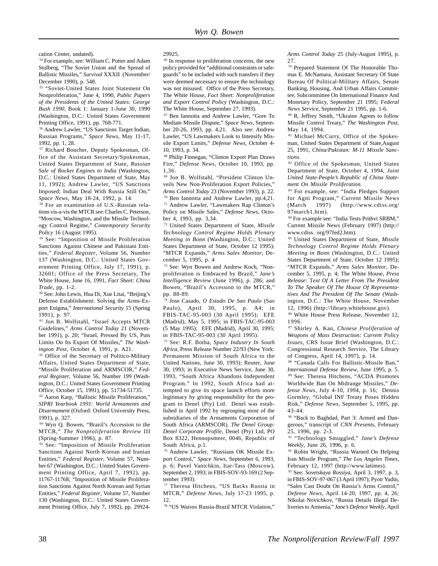cation Center, undated).

54 For example, see: William C. Potter and Adam Stulberg, "The Soviet Union and the Spread of Ballistic Missiles," *Survival* XXXII (November/ December 1990), p. 548.

55 "Soviet-United States Joint Statement On Nonproliferation," June 4, 1990, *Public Papers of the Presidents of the United States: George Bush 1990,* Book 1: January 1-June 30, 1990 (Washington, D.C.: United States Government Printing Office, 1991), pp. 768-771.

56 Andrew Lawler, "US Sanctions Target Indian, Russian Programs," *Space News*, May 11-17, 1992, pp. 1, 28.

57 Richard Boucher, Deputy Spokesman, Office of the Assistant Secretary/Spokesman, United States Department of State, *Russian Sale of Rocket Engines to India* (Washington, D.C.: United States Department of State, May 11, 1992); Andrew Lawler, "US Sanctions Imposed; Indian Deal With Russia Still On," *Space News*, May 18-24, 1992, p. 14.

58 For an examination of U.S.-Russian relations vis-a-vis the MTCR see: Charles C. Peterson, "Moscow, Washington, and the Missile Technology Control Regime," *Contemporary Security Policy* 16 (August 1995).

59 See: "Imposition of Missile Proliferation Sanctions Against Chinese and Pakistani Entities," *Federal Register*, Volume 56, Number 137 (Washington, D.C.: United States Government Printing Office, July 17, 1991), p. 32601; Office of the Press Secretary, The White House, June 16, 1991, *Fact Sheet: China Trade*, pp. 1-2.

60 See: John Lewis, Hua Di, Xue Litai, "Beijing's Defense Establishment: Solving the Arms-Export Enigma," *International Security* 15 (Spring 1991), p. 97.

61 Jon B. Wolfstahl, "Israel Accepts MTCR Guidelines," *Arms Control Today* 21 (November 1991), p. 20; "Israel, Pressed By US, Puts Limits On Its Export Of Missiles," *The Washington Post*, October 4, 1991, p. A21.

62 Office of the Secretary of Politico-Military Affairs, United States Department of State, "Missile Proliferation and ARMSCOR," *Federal Register*, Volume 56, Number 199 (Washington, D.C.: United States Government Printing Office, October 15, 1991), pp. 51734-51735.

63 Aaron Karp, "Ballistic Missile Proliferation," *SIPRI Yearbook 1991: World Armaments and Disarmament* (Oxford: Oxford University Press, 1991), p. 327.

64 Wyn Q. Bowen, "Brazil's Accession to the MTCR," *The Nonproliferation Review* III (Spring-Summer 1996), p. 87.

65 See: "Imposition of Missile Proliferation Sanctions Against North Korean and Iranian Entities," *Federal Register*, Volume 57, Number 67 (Washington, D.C.: United States Government Printing Office, April 7, 1992), pp. 11767-11768; "Imposition of Missile Proliferation Sanctions Against North Korean and Syrian Entities," *Federal Register*, Volume 57, Number 130 (Washington, D.C.: United States Government Printing Office, July 7, 1992), pp. 29924-

#### 29925.

66 In response to proliferation concerns, the new policy provided for "additional constraints or safeguards" to be included with such transfers if they were deemed necessary to ensure the technology was not misused. Office of the Press Secretary, The White House, *Fact Sheet: Nonproliferation and Export Control Policy* (Washington, D.C.: The White House, September 27, 1993).

67 Ben Iannotta and Andrew Lawler, "Gore To Mediate Missile Dispute," *Space News*, September 20-26, 1993, pp. 4,21. Also see: Andrew Lawler, "US Lawmakers Look to Intensify Missile Export Limits," *Defense News*, October 4- 10, 1993, p. 34.

68 Philip Finnegan, "Clinton Export Plan Draws Fire," *Defense News*, October 10, 1993, pp. 1,36.

69 Jon B. Wolfstahl, "President Clinton Unveils New Non-Proliferation Export Policies,' *Arms Control Today* 23 (November 1993), p. 22. 70 Ben Iannotta and Andrew Lawler, pp.4,21. 71 Andrew Lawler, "Lawmakers Rap Clinton's Policy on Missile Sales," *Defense News*, October 4, 1993, pp. 3,34.

72 United States Department of State, *Missile Technology Control Regime Holds Plenary Meeting in Bonn* (Washington, D.C.: United States Department of State, October 12 1995); "MTCR Expands," *Arms Sales Monitor*, December 5, 1995, p. 4

73 See: Wyn Bowen and Andrew Koch, "Nonproliferation is Embraced by Brazil," *Jane's Intelligence Review* (June 1996), p. 286; and Bowen, "Brazil's Accession to the MTCR," pp. 88-89.

74 Jose Casado, *O Estado De Sao Paulo* (Sao Paulo), April 30, 1995, p. A4; in FBIS-TAC-95-003 (30 April 1995); EFE (Madrid), May 5, 1995; in FBIS-TAC-95-003 (5 May 1995); EFE (Madrid), April 30, 1995; in FBIS-TAC-95-003 (30 April 1995).

75 See: R.F. Botha, *Space Industry In South Africa*, Press Release Number 22/93 (New York: Permanent Mission of South Africa to the United Nations, June 30, 1993); Reuter, June 30, 1993; in Executive News Service, June 30, 1993, "South Africa Abandons Independent Program." In 1992, South Africa had attempted to give its space launch efforts more legitimacy by giving responsibility for the program to Denel (Pty) Ltd. Denel was established in April 1992 by regrouping most of the subsidiaries of the Armaments Corporation of South Africa (ARMSCOR). *The Denel Group: Denel Corporate Profile*, Denel (Pty) Ltd, PO Box 8322, Hennopsmeer, 0046, Republic of South Africa, p.1.

76 Andrew Lawler, "Russians OK Missile Export Control," *Space News*, September 6, 1993, p. 6; Pavel Vanichkin, Itar-Tass (Moscow), September 2, 1993; in FBIS-SOV-93-169 (2 September 1993).

77 Theresa Hitchens, "US Backs Russia in MTCR," *Defense News*, July 17-23 1995, p. 12.

78 "US Waives Russia-Brazil MTCR Violation,"

*Arms Control Today* 25 (July-August 1995), p. 27.

79 Prepared Statement Of The Honorable Thomas E. McNamara, Assistant Secretary Of State Bureau Of Political-Military Affairs, Senate Banking, Housing, And Urban Affairs Committee, Subcommittee On International Finance And Monetary Policy, September 21 1995; *Federal News Service*, September 21 1995, pp. 1-6.

80 R. Jeffrey Smith, "Ukraine Agrees to follow Missile Control Treaty," *The Washington Post*, May 14, 1994.

81 Michael McCurry, Office of the Spokesman, United States Department of State,August 25, 1991, *China/Pakistan: M-11 Missile Sanctions.*

82 Office of the Spokesman, United States Department of State, October 4, 1994, *Joint United State-People's Republic of China Statement On Missile Proliferation.*

83 For example, see: "India Pledges Support for Agni Program," Current Missile News (March 1997) (http://www.cdiss.org/ 97march1.htm).

84 For example see: "India Tests Prithvi SRBM," Current Missile News (February 1997) (http:// www.cdiss. org/97fed2.htm).

85 United States Department of State, *Missile Technology Control Regime Holds Plenary Meeting in Bonn* (Washington, D.C.: United States Department of State, October 12 1995); "MTCR Expands," *Arms Sales Monitor*, December 5, 1995, p. 4; The White House, *Press Release:* T*ext Of A Letter From The President To The Speaker Of The House Of Representatives And The President Of The Senate* (Washington, D.C.: The White House, November 12, 1996) (http://library.whitehouse.gov).

86 White House Press Release, November 12, 1996.

87 Shirley A. Kan, *Chinese Proliferation of Weapons of Mass Destruction: Current Policy Issues*, CRS Issue Brief (Washington, D.C.: Congressional Research Service, The Library of Congress, April 14, 1997), p. 14.

88 "Canada Calls For Ballistic-Missile Ban," *International Defense Review*, June 1995, p. 5. 89 See: Theresa Hitchens, "ACDA Promotes Worldwide Ban On Midrange Missiles," *Defense News*, July 4-10, 1994, p. 16; Dennis Gormley, "Global INF Treaty Poses Hidden Risk," *Defense News*, September 5, 1995, pp. 43-44.

90 "Back to Baghdad, Part 3: Armed and Dangerous," transcript of *CNN Presents*, February 25, 1996, pp. 2-3.

91 "Technology Smuggled," *Jane's Defense Weekly*, June 26, 1996, p. 6.

92 Robin Wright, "Russia Warned On Helping Iran Missile Program," *The Los Angeles Times*, February 12, 1997 (http://www.latimes).

93 See: *Sovetskaya Rossiya*, April 3, 1997, p. 3, in FBIS-SOV-97-067 (3 April 1997); Pyotr Yudin, "Sales Cast Doubt On Russia's Arms Control," *Defense News*, April 14-20, 1997, pp. 4, 26; Nikolai Novichkov, "Russia Details Illegal Deliveries to Armenia," *Jane's Defence Weekly*, April